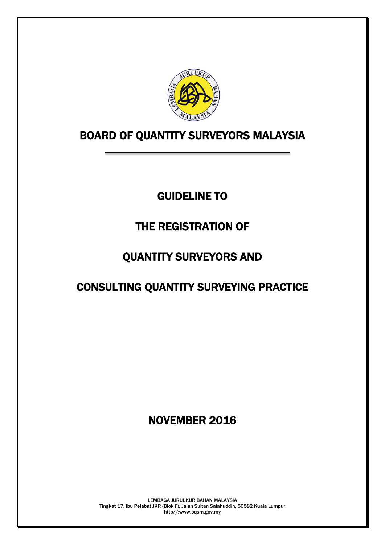

# BOARD OF QUANTITY SURVEYORS MALAYSIA

# GUIDELINE TO

# THE REGISTRATION OF

# QUANTITY SURVEYORS AND

# CONSULTING QUANTITY SURVEYING PRACTICE

# NOVEMBER 2016

LEMBAGA JURUUKUR BAHAN MALAYSIA Tingkat 17, Ibu Pejabat JKR (Blok F), Jalan Sultan Salahuddin, 50582 Kuala Lumpur http//:www.bqsm.gov.my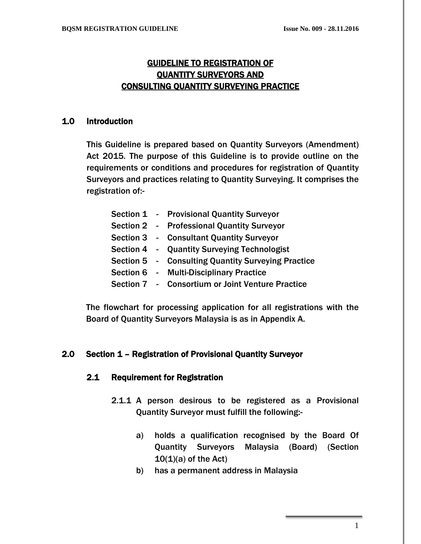# GUIDELINE TO REGISTRATION OF QUANTITY SURVEYORS AND CONSULTING QUANTITY SURVEYING PRACTICE

#### 1.0 Introduction

This Guideline is prepared based on Quantity Surveyors (Amendment) Act 2015. The purpose of this Guideline is to provide outline on the requirements or conditions and procedures for registration of Quantity Surveyors and practices relating to Quantity Surveying. It comprises the registration of:-

|  | Section 1 - Provisional Quantity Surveyor          |
|--|----------------------------------------------------|
|  | Section 2 - Professional Quantity Surveyor         |
|  | Section 3 - Consultant Quantity Surveyor           |
|  | Section 4 - Quantity Surveying Technologist        |
|  | Section 5 - Consulting Quantity Surveying Practice |
|  | Section 6 - Multi-Disciplinary Practice            |
|  | Section 7 - Consortium or Joint Venture Practice   |

The flowchart for processing application for all registrations with the Board of Quantity Surveyors Malaysia is as in Appendix A.

# 2.0 Section 1 – Registration of Provisional Quantity Surveyor

#### 2.1 Requirement for Registration

- 2.1.1 A person desirous to be registered as a Provisional Quantity Surveyor must fulfill the following:
	- a) holds a qualification recognised by the Board Of Quantity Surveyors Malaysia (Board) (Section  $10(1)(a)$  of the Act)
	- b) has a permanent address in Malaysia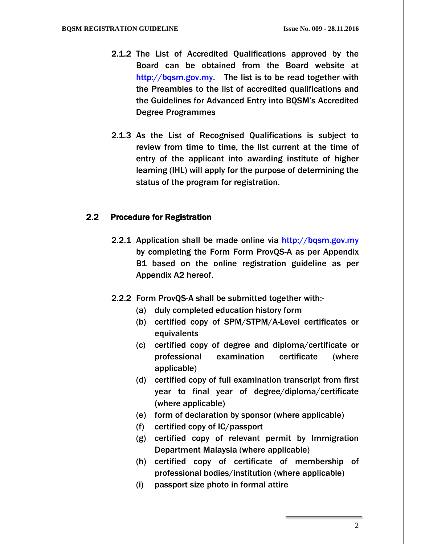- 2.1.2 The List of Accredited Qualifications approved by the Board can be obtained from the Board website at [http://bqsm.gov.my.](http://bqsm.gov.my/) The list is to be read together with the Preambles to the list of accredited qualifications and the Guidelines for Advanced Entry into BQSM's Accredited Degree Programmes
- 2.1.3 As the List of Recognised Qualifications is subject to review from time to time, the list current at the time of entry of the applicant into awarding institute of higher learning (IHL) will apply for the purpose of determining the status of the program for registration.

#### 2.2 Procedure for Registration

- 2.2.1 Application shall be made online via [http://bqsm.gov.my](http://bqsm.gov.my/reqsys_uat/public/) by completing the Form Form ProvQS-A as per Appendix B1 based on the online registration guideline as per Appendix A2 hereof.
- 2.2.2 Form ProvQS-A shall be submitted together with:-
	- (a) duly completed education history form
	- (b) certified copy of SPM/STPM/A-Level certificates or equivalents
	- (c) certified copy of degree and diploma/certificate or professional examination certificate (where applicable)
	- (d) certified copy of full examination transcript from first year to final year of degree/diploma/certificate (where applicable)
	- (e) form of declaration by sponsor (where applicable)
	- (f) certified copy of IC/passport
	- (g) certified copy of relevant permit by Immigration Department Malaysia (where applicable)
	- (h) certified copy of certificate of membership of professional bodies/institution (where applicable)
	- (i) passport size photo in formal attire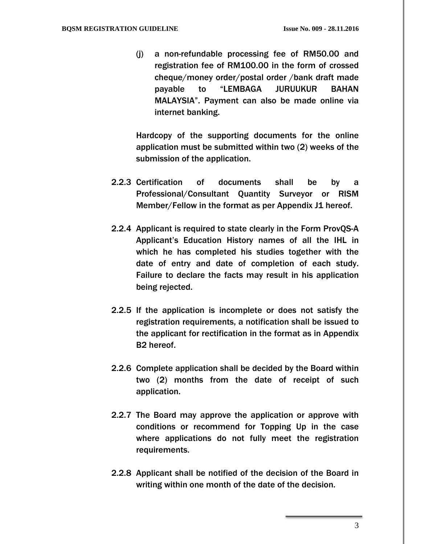(j) a non-refundable processing fee of RM50.00 and registration fee of RM100.00 in the form of crossed cheque/money order/postal order /bank draft made payable to "LEMBAGA JURUUKUR BAHAN MALAYSIA". Payment can also be made online via internet banking.

Hardcopy of the supporting documents for the online application must be submitted within two (2) weeks of the submission of the application.

- 2.2.3 Certification of documents shall be by a Professional/Consultant Quantity Surveyor or RISM Member/Fellow in the format as per Appendix J1 hereof.
- 2.2.4 Applicant is required to state clearly in the Form ProvQS-A Applicant's Education History names of all the IHL in which he has completed his studies together with the date of entry and date of completion of each study. Failure to declare the facts may result in his application being rejected.
- 2.2.5 If the application is incomplete or does not satisfy the registration requirements, a notification shall be issued to the applicant for rectification in the format as in Appendix B2 hereof.
- 2.2.6 Complete application shall be decided by the Board within two (2) months from the date of receipt of such application.
- 2.2.7 The Board may approve the application or approve with conditions or recommend for Topping Up in the case where applications do not fully meet the registration requirements.
- 2.2.8 Applicant shall be notified of the decision of the Board in writing within one month of the date of the decision.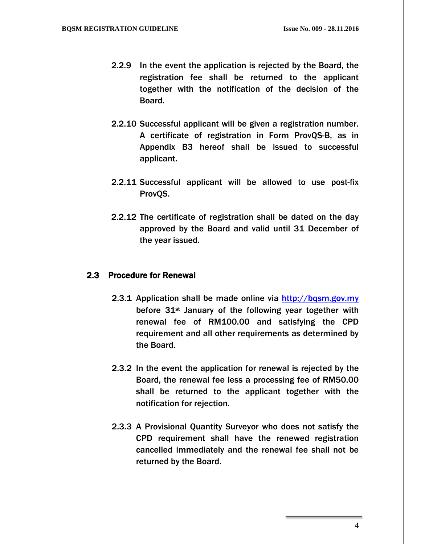- 2.2.9 In the event the application is rejected by the Board, the registration fee shall be returned to the applicant together with the notification of the decision of the Board.
- 2.2.10 Successful applicant will be given a registration number. A certificate of registration in Form ProvQS-B, as in Appendix B3 hereof shall be issued to successful applicant.
- 2.2.11 Successful applicant will be allowed to use post-fix ProvQS.
- 2.2.12 The certificate of registration shall be dated on the day approved by the Board and valid until 31 December of the year issued.

#### 2.3 Procedure for Renewal

- 2.3.1 Application shall be made online via [http://bqsm.gov.my](http://bqsm.gov.my/reqsys_uat/public/) before  $31$ <sup>st</sup> January of the following year together with renewal fee of RM100.00 and satisfying the CPD requirement and all other requirements as determined by the Board.
- 2.3.2 In the event the application for renewal is rejected by the Board, the renewal fee less a processing fee of RM50.00 shall be returned to the applicant together with the notification for rejection.
- 2.3.3 A Provisional Quantity Surveyor who does not satisfy the CPD requirement shall have the renewed registration cancelled immediately and the renewal fee shall not be returned by the Board.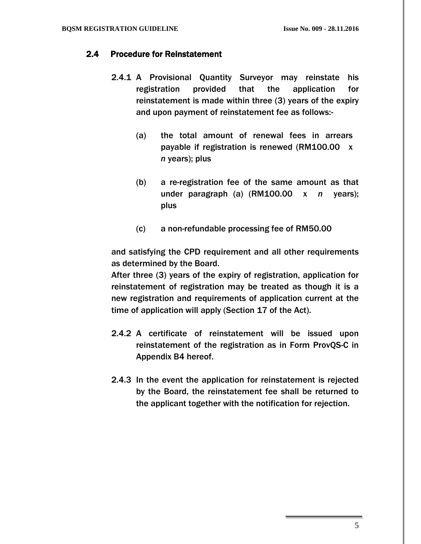# 2.4 Procedure for Reinstatement

- 2.4.1 A Provisional Quantity Surveyor may reinstate his registration provided that the application for reinstatement is made within three (3) years of the expiry and upon payment of reinstatement fee as follows:-
	- (a) the total amount of renewal fees in arrears payable if registration is renewed (RM100.00 x *n* years); plus
	- (b) a re-registration fee of the same amount as that under paragraph (a) (RM100.00 x *n* years); plus
	- (c) a non-refundable processing fee of RM50.00

and satisfying the CPD requirement and all other requirements as determined by the Board.

After three (3) years of the expiry of registration, application for reinstatement of registration may be treated as though it is a new registration and requirements of application current at the time of application will apply (Section 17 of the Act).

- 2.4.2 A certificate of reinstatement will be issued upon reinstatement of the registration as in Form ProvQS-C in Appendix B4 hereof.
- 2.4.3 In the event the application for reinstatement is rejected by the Board, the reinstatement fee shall be returned to the applicant together with the notification for rejection.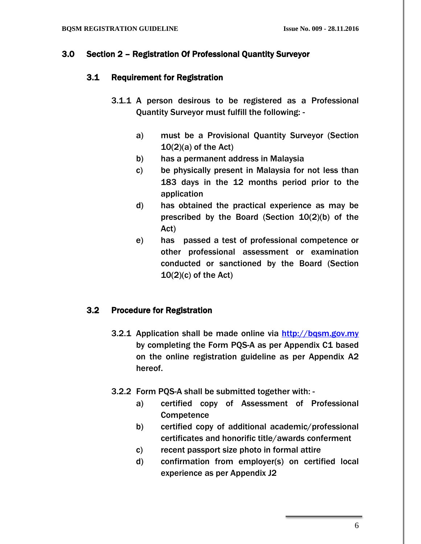#### 3.0 Section 2 – Registration Of Professional Quantity Surveyor

#### 3.1 Requirement for Registration

- 3.1.1 A person desirous to be registered as a Professional Quantity Surveyor must fulfill the following:
	- a) must be a Provisional Quantity Surveyor (Section  $10(2)(a)$  of the Act)
	- b) has a permanent address in Malaysia
	- c) be physically present in Malaysia for not less than 183 days in the 12 months period prior to the application
	- d) has obtained the practical experience as may be prescribed by the Board (Section 10(2)(b) of the Act)
	- e) has passed a test of professional competence or other professional assessment or examination conducted or sanctioned by the Board (Section  $10(2)(c)$  of the Act)

# 3.2 Procedure for Registration

- 3.2.1 Application shall be made online via [http://bqsm.gov.my](http://bqsm.gov.my/reqsys_uat/public/) by completing the Form PQS-A as per Appendix C1 based on the online registration guideline as per Appendix A2 hereof.
- 3.2.2 Form PQS-A shall be submitted together with:
	- a) certified copy of Assessment of Professional **Competence**
	- b) certified copy of additional academic/professional certificates and honorific title/awards conferment
	- c) recent passport size photo in formal attire
	- d) confirmation from employer(s) on certified local experience as per Appendix J2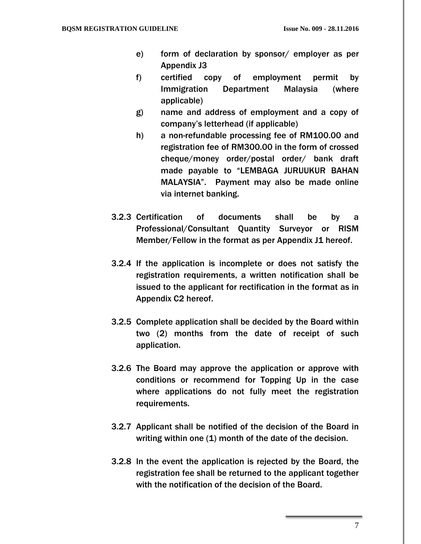- e) form of declaration by sponsor/ employer as per Appendix J3
- f) certified copy of employment permit by Immigration Department Malaysia (where applicable)
- g) name and address of employment and a copy of company's letterhead (if applicable)
- h) a non-refundable processing fee of RM100.00 and registration fee of RM300.00 in the form of crossed cheque/money order/postal order/ bank draft made payable to "LEMBAGA JURUUKUR BAHAN MALAYSIA". Payment may also be made online via internet banking.
- 3.2.3 Certification of documents shall be by a Professional/Consultant Quantity Surveyor or RISM Member/Fellow in the format as per Appendix J1 hereof.
- 3.2.4 If the application is incomplete or does not satisfy the registration requirements, a written notification shall be issued to the applicant for rectification in the format as in Appendix C2 hereof.
- 3.2.5 Complete application shall be decided by the Board within two (2) months from the date of receipt of such application.
- 3.2.6 The Board may approve the application or approve with conditions or recommend for Topping Up in the case where applications do not fully meet the registration requirements.
- 3.2.7 Applicant shall be notified of the decision of the Board in writing within one (1) month of the date of the decision.
- 3.2.8 In the event the application is rejected by the Board, the registration fee shall be returned to the applicant together with the notification of the decision of the Board.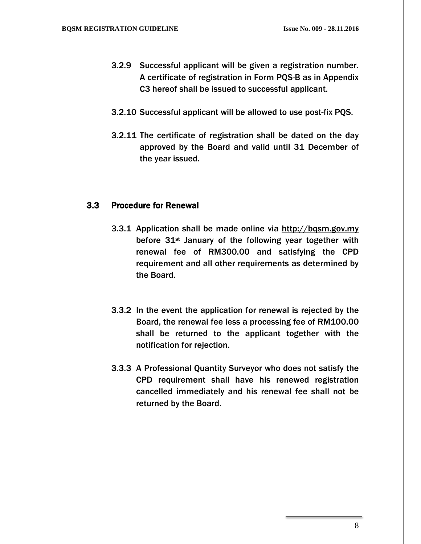- 3.2.9 Successful applicant will be given a registration number. A certificate of registration in Form PQS-B as in Appendix C3 hereof shall be issued to successful applicant.
- 3.2.10 Successful applicant will be allowed to use post-fix PQS.
- 3.2.11 The certificate of registration shall be dated on the day approved by the Board and valid until 31 December of the year issued.

### 3.3 Procedure for Renewal

- 3.3.1 Application shall be made online via http://bqsm.gov.my before  $31$ <sup>st</sup> January of the following year together with renewal fee of RM300.00 and satisfying the CPD requirement and all other requirements as determined by the Board.
- 3.3.2 In the event the application for renewal is rejected by the Board, the renewal fee less a processing fee of RM100.00 shall be returned to the applicant together with the notification for rejection.
- 3.3.3 A Professional Quantity Surveyor who does not satisfy the CPD requirement shall have his renewed registration cancelled immediately and his renewal fee shall not be returned by the Board.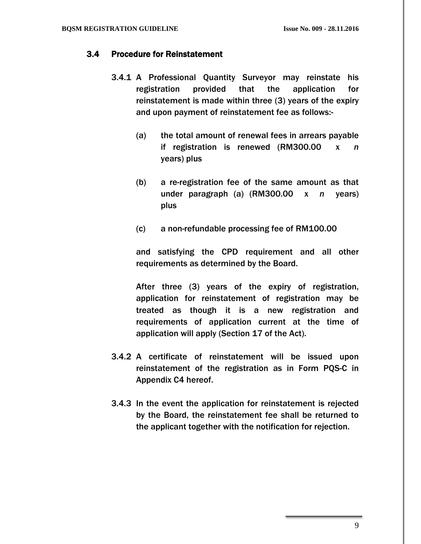# 3.4 Procedure for Reinstatement

- 3.4.1 A Professional Quantity Surveyor may reinstate his registration provided that the application for reinstatement is made within three (3) years of the expiry and upon payment of reinstatement fee as follows:-
	- (a) the total amount of renewal fees in arrears payable if registration is renewed (RM300.00 x *n* years) plus
	- (b) a re-registration fee of the same amount as that under paragraph (a) (RM300.00 x *n* years) plus
	- (c) a non-refundable processing fee of RM100.00

and satisfying the CPD requirement and all other requirements as determined by the Board.

After three (3) years of the expiry of registration, application for reinstatement of registration may be treated as though it is a new registration and requirements of application current at the time of application will apply (Section 17 of the Act).

- 3.4.2 A certificate of reinstatement will be issued upon reinstatement of the registration as in Form PQS-C in Appendix C4 hereof.
- 3.4.3 In the event the application for reinstatement is rejected by the Board, the reinstatement fee shall be returned to the applicant together with the notification for rejection.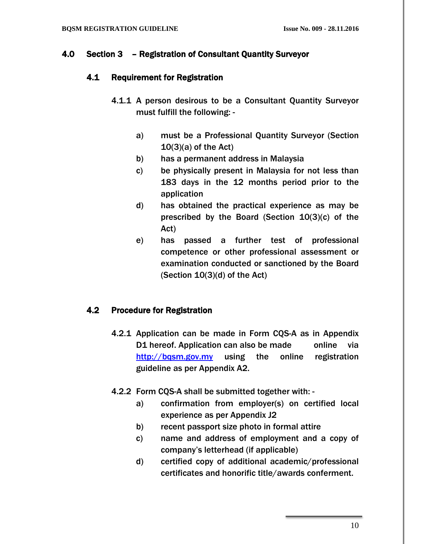#### 4.0 Section 3 – Registration of Consultant Quantity Surveyor

#### 4.1 Requirement for Registration

- 4.1.1 A person desirous to be a Consultant Quantity Surveyor must fulfill the following:
	- a) must be a Professional Quantity Surveyor (Section  $10(3)(a)$  of the Act)
	- b) has a permanent address in Malaysia
	- c) be physically present in Malaysia for not less than 183 days in the 12 months period prior to the application
	- d) has obtained the practical experience as may be prescribed by the Board (Section 10(3)(c) of the Act)
	- e) has passed a further test of professional competence or other professional assessment or examination conducted or sanctioned by the Board (Section 10(3)(d) of the Act)

# 4.2 Procedure for Registration

- 4.2.1 Application can be made in Form CQS-A as in Appendix D1 hereof. Application can also be made online via [http://bqsm.gov.my](http://bqsm.gov.my/index.php/my/download/forms) using the online registration guideline as per Appendix A2.
- 4.2.2 Form CQS-A shall be submitted together with:
	- a) confirmation from employer(s) on certified local experience as per Appendix J2
	- b) recent passport size photo in formal attire
	- c) name and address of employment and a copy of company's letterhead (if applicable)
	- d) certified copy of additional academic/professional certificates and honorific title/awards conferment.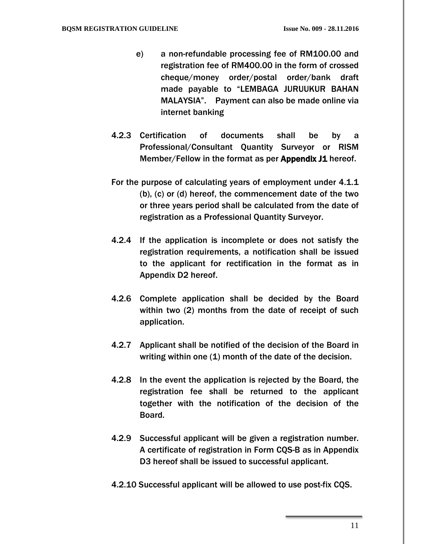- e) a non-refundable processing fee of RM100.00 and registration fee of RM400.00 in the form of crossed cheque/money order/postal order/bank draft made payable to "LEMBAGA JURUUKUR BAHAN MALAYSIA". Payment can also be made online via internet banking
- 4.2.3 Certification of documents shall be by a Professional/Consultant Quantity Surveyor or RISM Member/Fellow in the format as per Appendix J1 hereof.
- For the purpose of calculating years of employment under 4.1.1 (b), (c) or (d) hereof, the commencement date of the two or three years period shall be calculated from the date of registration as a Professional Quantity Surveyor.
- 4.2.4 If the application is incomplete or does not satisfy the registration requirements, a notification shall be issued to the applicant for rectification in the format as in Appendix D2 hereof.
- 4.2.6 Complete application shall be decided by the Board within two (2) months from the date of receipt of such application.
- 4.2.7 Applicant shall be notified of the decision of the Board in writing within one (1) month of the date of the decision.
- 4.2.8 In the event the application is rejected by the Board, the registration fee shall be returned to the applicant together with the notification of the decision of the Board.
- 4.2.9 Successful applicant will be given a registration number. A certificate of registration in Form CQS-B as in Appendix D3 hereof shall be issued to successful applicant.
- 4.2.10 Successful applicant will be allowed to use post-fix CQS.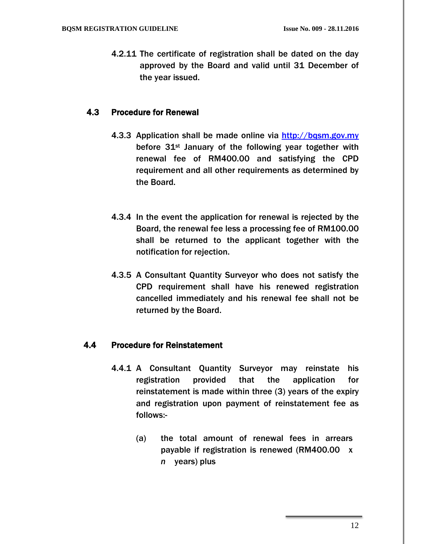4.2.11 The certificate of registration shall be dated on the day approved by the Board and valid until 31 December of the year issued.

#### 4.3 Procedure for Renewal

- 4.3.3 Application shall be made online via [http://bqsm.gov.my](http://bqsm.gov.my/reqsys_uat/public/) before 31<sup>st</sup> January of the following year together with renewal fee of RM400.00 and satisfying the CPD requirement and all other requirements as determined by the Board.
- 4.3.4 In the event the application for renewal is rejected by the Board, the renewal fee less a processing fee of RM100.00 shall be returned to the applicant together with the notification for rejection.
- 4.3.5 A Consultant Quantity Surveyor who does not satisfy the CPD requirement shall have his renewed registration cancelled immediately and his renewal fee shall not be returned by the Board.

# 4.4 Procedure for Reinstatement

- 4.4.1 A Consultant Quantity Surveyor may reinstate his registration provided that the application for reinstatement is made within three (3) years of the expiry and registration upon payment of reinstatement fee as follows:-
	- (a) the total amount of renewal fees in arrears payable if registration is renewed (RM400.00 x *n* years) plus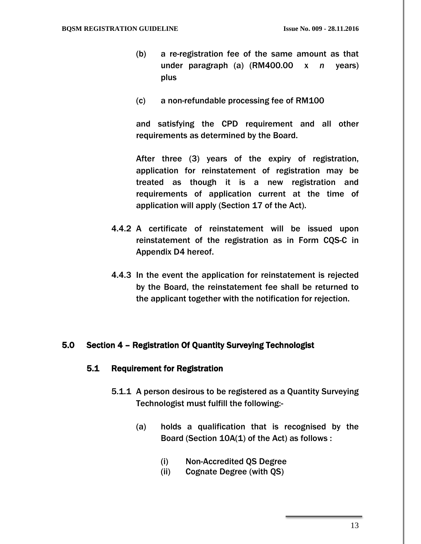- (b) a re-registration fee of the same amount as that under paragraph (a) (RM400.00 x *n* years) plus
- (c) a non-refundable processing fee of RM100

and satisfying the CPD requirement and all other requirements as determined by the Board.

After three (3) years of the expiry of registration, application for reinstatement of registration may be treated as though it is a new registration and requirements of application current at the time of application will apply (Section 17 of the Act).

- 4.4.2 A certificate of reinstatement will be issued upon reinstatement of the registration as in Form CQS-C in Appendix D4 hereof.
- 4.4.3 In the event the application for reinstatement is rejected by the Board, the reinstatement fee shall be returned to the applicant together with the notification for rejection.

#### 5.0 Section 4 – Registration Of Quantity Surveying Technologist

#### 5.1 Requirement for Registration

- 5.1.1 A person desirous to be registered as a Quantity Surveying Technologist must fulfill the following:-
	- (a) holds a qualification that is recognised by the Board (Section 10A(1) of the Act) as follows :
		- (i) Non-Accredited QS Degree
		- (ii) Cognate Degree (with QS)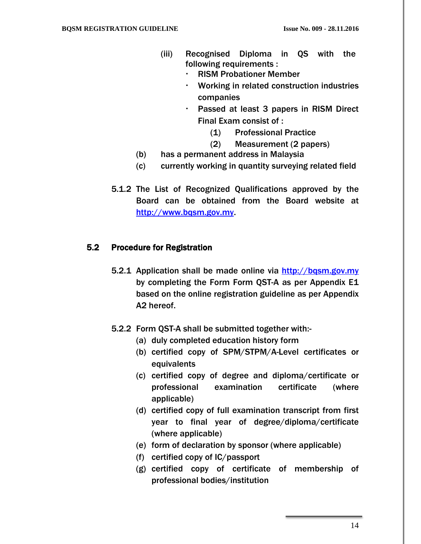- (iii) Recognised Diploma in QS with the following requirements :
	- RISM Probationer Member
	- Working in related construction industries companies
	- Passed at least 3 papers in RISM Direct Final Exam consist of :
		- (1) Professional Practice
		- (2) Measurement (2 papers)
- (b) has a permanent address in Malaysia
- (c) currently working in quantity surveying related field
- 5.1.2 The List of Recognized Qualifications approved by the Board can be obtained from the Board website at [http://www.bqsm.gov.my.](http://www.bqsm.gov.my/)

#### 5.2 Procedure for Registration

- 5.2.1 Application shall be made online via [http://bqsm.gov.my](http://bqsm.gov.my/reqsys_uat/public/) by completing the Form Form QST-A as per Appendix E1 based on the online registration guideline as per Appendix A2 hereof.
- 5.2.2 Form QST-A shall be submitted together with:-
	- (a) duly completed education history form
	- (b) certified copy of SPM/STPM/A-Level certificates or equivalents
	- (c) certified copy of degree and diploma/certificate or professional examination certificate (where applicable)
	- (d) certified copy of full examination transcript from first year to final year of degree/diploma/certificate (where applicable)
	- (e) form of declaration by sponsor (where applicable)
	- (f) certified copy of IC/passport
	- (g) certified copy of certificate of membership of professional bodies/institution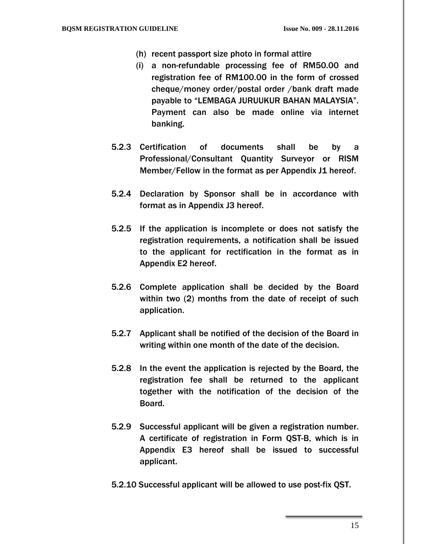- (h) recent passport size photo in formal attire
- (i) a non-refundable processing fee of RM50.00 and registration fee of RM100.00 in the form of crossed cheque/money order/postal order /bank draft made payable to "LEMBAGA JURUUKUR BAHAN MALAYSIA". Payment can also be made online via internet banking.
- 5.2.3 Certification of documents shall be by a Professional/Consultant Quantity Surveyor or RISM Member/Fellow in the format as per Appendix J1 hereof.
- 5.2.4 Declaration by Sponsor shall be in accordance with format as in Appendix J3 hereof.
- 5.2.5 If the application is incomplete or does not satisfy the registration requirements, a notification shall be issued to the applicant for rectification in the format as in Appendix E2 hereof.
- 5.2.6 Complete application shall be decided by the Board within two (2) months from the date of receipt of such application.
- 5.2.7 Applicant shall be notified of the decision of the Board in writing within one month of the date of the decision.
- 5.2.8 In the event the application is rejected by the Board, the registration fee shall be returned to the applicant together with the notification of the decision of the Board.
- 5.2.9 Successful applicant will be given a registration number. A certificate of registration in Form QST-B, which is in Appendix E3 hereof shall be issued to successful applicant.
- 5.2.10 Successful applicant will be allowed to use post-fix QST.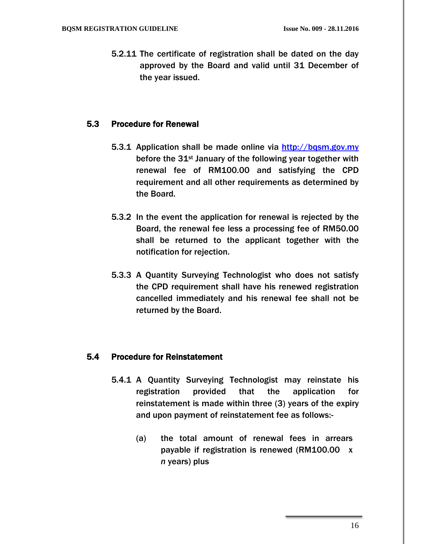5.2.11 The certificate of registration shall be dated on the day approved by the Board and valid until 31 December of the year issued.

#### 5.3 Procedure for Renewal

- 5.3.1 Application shall be made online via [http://bqsm.gov.my](http://bqsm.gov.my/reqsys_uat/public/) before the 31<sup>st</sup> January of the following year together with renewal fee of RM100.00 and satisfying the CPD requirement and all other requirements as determined by the Board.
- 5.3.2 In the event the application for renewal is rejected by the Board, the renewal fee less a processing fee of RM50.00 shall be returned to the applicant together with the notification for rejection.
- 5.3.3 A Quantity Surveying Technologist who does not satisfy the CPD requirement shall have his renewed registration cancelled immediately and his renewal fee shall not be returned by the Board.

# 5.4 Procedure for Reinstatement

- 5.4.1 A Quantity Surveying Technologist may reinstate his registration provided that the application for reinstatement is made within three (3) years of the expiry and upon payment of reinstatement fee as follows:-
	- (a) the total amount of renewal fees in arrears payable if registration is renewed (RM100.00 x *n* years) plus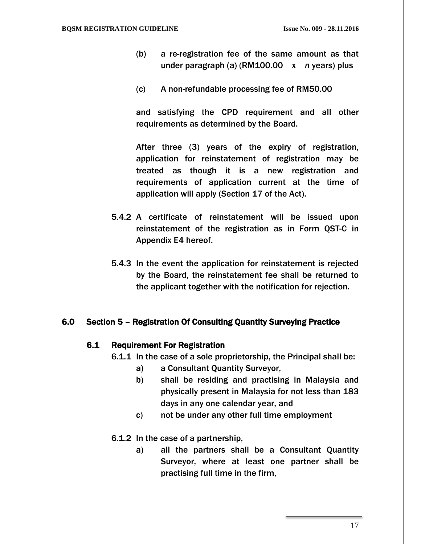- (b) a re-registration fee of the same amount as that under paragraph (a) (RM100.00 x *n* years) plus
- (c) A non-refundable processing fee of RM50.00

and satisfying the CPD requirement and all other requirements as determined by the Board.

After three (3) years of the expiry of registration, application for reinstatement of registration may be treated as though it is a new registration and requirements of application current at the time of application will apply (Section 17 of the Act).

- 5.4.2 A certificate of reinstatement will be issued upon reinstatement of the registration as in Form QST-C in Appendix E4 hereof.
- 5.4.3 In the event the application for reinstatement is rejected by the Board, the reinstatement fee shall be returned to the applicant together with the notification for rejection.

#### 6.0 Section 5 – Registration Of Consulting Quantity Surveying Practice

#### 6.1 Requirement For Registration

- 6.1.1 In the case of a sole proprietorship, the Principal shall be:
	- a) a Consultant Quantity Surveyor,
	- b) shall be residing and practising in Malaysia and physically present in Malaysia for not less than 183 days in any one calendar year, and
	- c) not be under any other full time employment
- 6.1.2 In the case of a partnership,
	- a) all the partners shall be a Consultant Quantity Surveyor, where at least one partner shall be practising full time in the firm,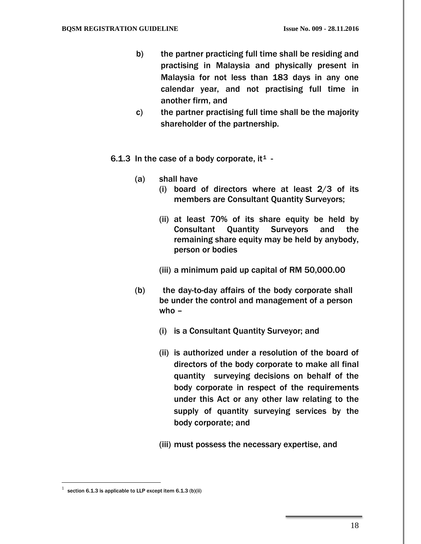- b) the partner practicing full time shall be residing and practising in Malaysia and physically present in Malaysia for not less than 183 days in any one calendar year, and not practising full time in another firm, and
- c) the partner practising full time shall be the majority shareholder of the partnership.
- 6.[1](#page-19-0).3 In the case of a body corporate, it<sup>1</sup> -
	- (a) shall have
		- (i) board of directors where at least  $2/3$  of its members are Consultant Quantity Surveyors;
		- (ii) at least 70% of its share equity be held by Consultant Quantity Surveyors and the remaining share equity may be held by anybody, person or bodies
		- (iii) a minimum paid up capital of RM 50,000.00
	- (b) the day-to-day affairs of the body corporate shall be under the control and management of a person who –
		- (i) is a Consultant Quantity Surveyor; and
		- (ii) is authorized under a resolution of the board of directors of the body corporate to make all final quantity surveying decisions on behalf of the body corporate in respect of the requirements under this Act or any other law relating to the supply of quantity surveying services by the body corporate; and
		- (iii) must possess the necessary expertise, and

 $\overline{a}$ 

<span id="page-19-0"></span>section 6.1.3 is applicable to LLP except item 6.1.3 (b)(ii)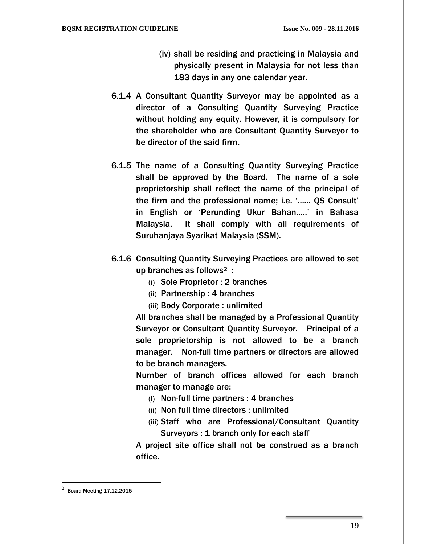- (iv) shall be residing and practicing in Malaysia and physically present in Malaysia for not less than 183 days in any one calendar year.
- 6.1.4 A Consultant Quantity Surveyor may be appointed as a director of a Consulting Quantity Surveying Practice without holding any equity. However, it is compulsory for the shareholder who are Consultant Quantity Surveyor to be director of the said firm.
- 6.1.5 The name of a Consulting Quantity Surveying Practice shall be approved by the Board. The name of a sole proprietorship shall reflect the name of the principal of the firm and the professional name; i.e. '…… QS Consult' in English or 'Perunding Ukur Bahan…..' in Bahasa Malaysia. It shall comply with all requirements of Suruhanjaya Syarikat Malaysia (SSM).
- 6.1.6 Consulting Quantity Surveying Practices are allowed to set up branches as follows[2](#page-20-0) :
	- (i) Sole Proprietor : 2 branches
	- (ii) Partnership : 4 branches
	- (iii) Body Corporate : unlimited

All branches shall be managed by a Professional Quantity Surveyor or Consultant Quantity Surveyor. Principal of a sole proprietorship is not allowed to be a branch manager. Non-full time partners or directors are allowed to be branch managers.

Number of branch offices allowed for each branch manager to manage are:

- (i) Non-full time partners : 4 branches
- (ii) Non full time directors : unlimited
- (iii) Staff who are Professional/Consultant Quantity Surveyors : 1 branch only for each staff

A project site office shall not be construed as a branch office.

 $\overline{a}$ 

<span id="page-20-0"></span> $^{2}$  Board Meeting 17.12.2015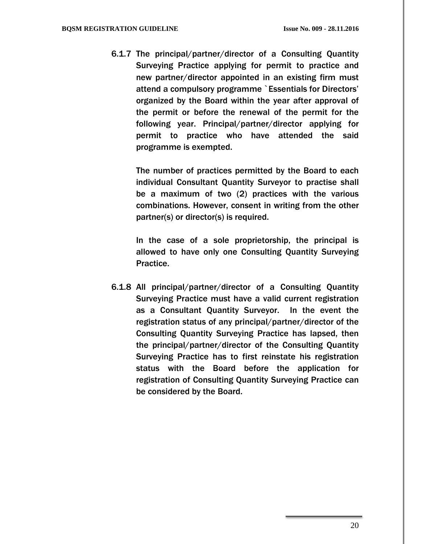6.1.7 The principal/partner/director of a Consulting Quantity Surveying Practice applying for permit to practice and new partner/director appointed in an existing firm must attend a compulsory programme `Essentials for Directors' organized by the Board within the year after approval of the permit or before the renewal of the permit for the following year. Principal/partner/director applying for permit to practice who have attended the said programme is exempted.

The number of practices permitted by the Board to each individual Consultant Quantity Surveyor to practise shall be a maximum of two (2) practices with the various combinations. However, consent in writing from the other partner(s) or director(s) is required.

In the case of a sole proprietorship, the principal is allowed to have only one Consulting Quantity Surveying Practice.

6.1.8 All principal/partner/director of a Consulting Quantity Surveying Practice must have a valid current registration as a Consultant Quantity Surveyor. In the event the registration status of any principal/partner/director of the Consulting Quantity Surveying Practice has lapsed, then the principal/partner/director of the Consulting Quantity Surveying Practice has to first reinstate his registration status with the Board before the application for registration of Consulting Quantity Surveying Practice can be considered by the Board.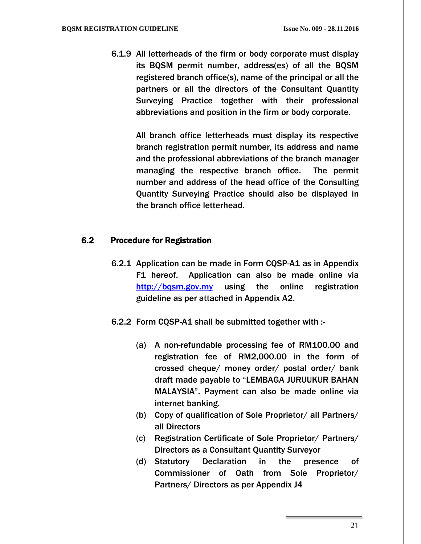6.1.9 All letterheads of the firm or body corporate must display its BQSM permit number, address(es) of all the BQSM registered branch office(s), name of the principal or all the partners or all the directors of the Consultant Quantity Surveying Practice together with their professional abbreviations and position in the firm or body corporate.

> All branch office letterheads must display its respective branch registration permit number, its address and name and the professional abbreviations of the branch manager managing the respective branch office. The permit number and address of the head office of the Consulting Quantity Surveying Practice should also be displayed in the branch office letterhead.

### 6.2 Procedure for Registration

- 6.2.1 Application can be made in Form CQSP-A1 as in Appendix F1 hereof. Application can also be made online via http://bgsm.gov.my using the online registration guideline as per attached in Appendix A2.
- 6.2.2 Form CQSP-A1 shall be submitted together with :-
	- (a) A non-refundable processing fee of RM100.00 and registration fee of RM2,000.00 in the form of crossed cheque/ money order/ postal order/ bank draft made payable to "LEMBAGA JURUUKUR BAHAN MALAYSIA". Payment can also be made online via internet banking.
	- (b) Copy of qualification of Sole Proprietor/ all Partners/ all Directors
	- (c) Registration Certificate of Sole Proprietor/ Partners/ Directors as a Consultant Quantity Surveyor
	- (d) Statutory Declaration in the presence of Commissioner of Oath from Sole Proprietor/ Partners/ Directors as per Appendix J4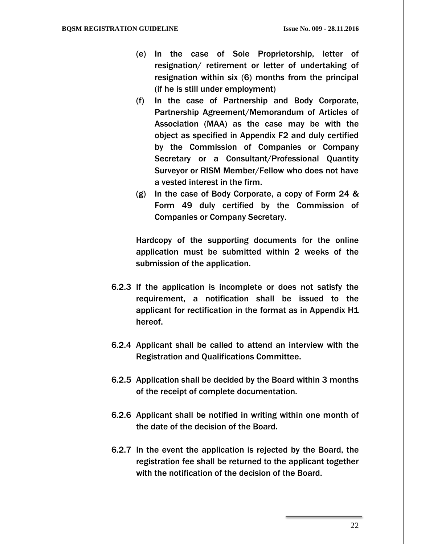- (e) In the case of Sole Proprietorship, letter of resignation/ retirement or letter of undertaking of resignation within six (6) months from the principal (if he is still under employment)
- (f) In the case of Partnership and Body Corporate, Partnership Agreement/Memorandum of Articles of Association (MAA) as the case may be with the object as specified in Appendix F2 and duly certified by the Commission of Companies or Company Secretary or a Consultant/Professional Quantity Surveyor or RISM Member/Fellow who does not have a vested interest in the firm.
- (g) In the case of Body Corporate, a copy of Form 24 & Form 49 duly certified by the Commission of Companies or Company Secretary.

Hardcopy of the supporting documents for the online application must be submitted within 2 weeks of the submission of the application.

- 6.2.3 If the application is incomplete or does not satisfy the requirement, a notification shall be issued to the applicant for rectification in the format as in Appendix H1 hereof.
- 6.2.4 Applicant shall be called to attend an interview with the Registration and Qualifications Committee.
- 6.2.5 Application shall be decided by the Board within 3 months of the receipt of complete documentation.
- 6.2.6 Applicant shall be notified in writing within one month of the date of the decision of the Board.
- 6.2.7 In the event the application is rejected by the Board, the registration fee shall be returned to the applicant together with the notification of the decision of the Board.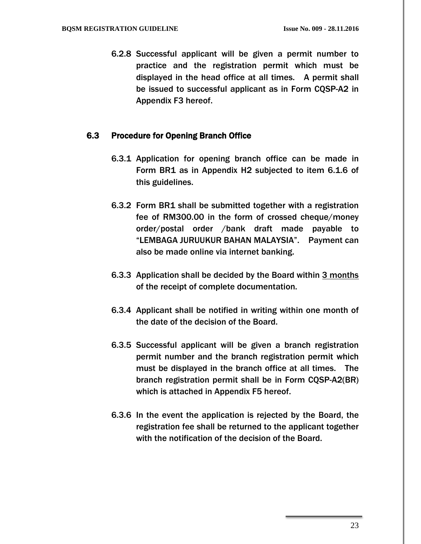6.2.8 Successful applicant will be given a permit number to practice and the registration permit which must be displayed in the head office at all times. A permit shall be issued to successful applicant as in Form CQSP-A2 in Appendix F3 hereof.

#### 6.3 Procedure for Opening Branch Office

- 6.3.1 Application for opening branch office can be made in Form BR1 as in Appendix H2 subjected to item 6.1.6 of this guidelines.
- 6.3.2 Form BR1 shall be submitted together with a registration fee of RM300.00 in the form of crossed cheque/money order/postal order /bank draft made payable to "LEMBAGA JURUUKUR BAHAN MALAYSIA". Payment can also be made online via internet banking.
- 6.3.3 Application shall be decided by the Board within 3 months of the receipt of complete documentation.
- 6.3.4 Applicant shall be notified in writing within one month of the date of the decision of the Board.
- 6.3.5 Successful applicant will be given a branch registration permit number and the branch registration permit which must be displayed in the branch office at all times. The branch registration permit shall be in Form CQSP-A2(BR) which is attached in Appendix F5 hereof.
- 6.3.6 In the event the application is rejected by the Board, the registration fee shall be returned to the applicant together with the notification of the decision of the Board.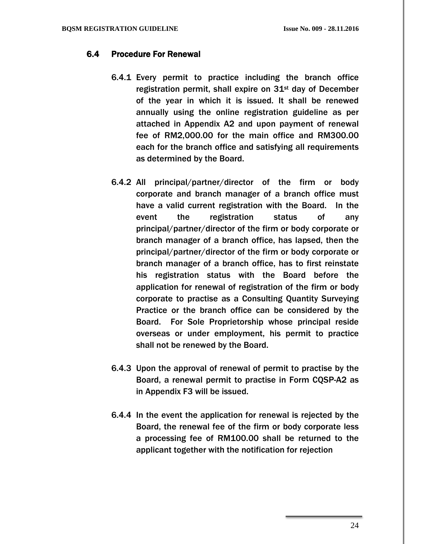### 6.4 Procedure For Renewal

- 6.4.1 Every permit to practice including the branch office registration permit, shall expire on  $31<sup>st</sup>$  day of December of the year in which it is issued. It shall be renewed annually using the online registration guideline as per attached in Appendix A2 and upon payment of renewal fee of RM2,000.00 for the main office and RM300.00 each for the branch office and satisfying all requirements as determined by the Board.
- 6.4.2 All principal/partner/director of the firm or body corporate and branch manager of a branch office must have a valid current registration with the Board. In the event the registration status of any principal/partner/director of the firm or body corporate or branch manager of a branch office, has lapsed, then the principal/partner/director of the firm or body corporate or branch manager of a branch office, has to first reinstate his registration status with the Board before the application for renewal of registration of the firm or body corporate to practise as a Consulting Quantity Surveying Practice or the branch office can be considered by the Board. For Sole Proprietorship whose principal reside overseas or under employment, his permit to practice shall not be renewed by the Board.
- 6.4.3 Upon the approval of renewal of permit to practise by the Board, a renewal permit to practise in Form CQSP-A2 as in Appendix F3 will be issued.
- 6.4.4 In the event the application for renewal is rejected by the Board, the renewal fee of the firm or body corporate less a processing fee of RM100.00 shall be returned to the applicant together with the notification for rejection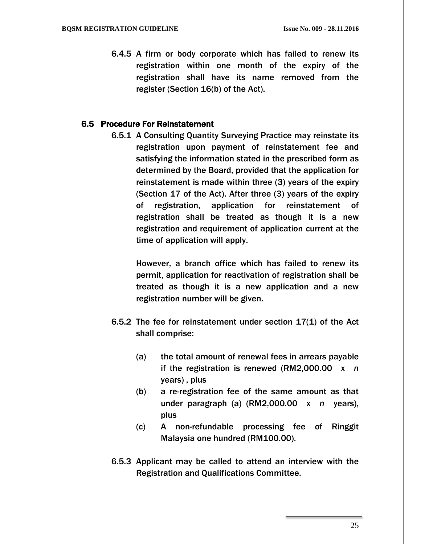6.4.5 A firm or body corporate which has failed to renew its registration within one month of the expiry of the registration shall have its name removed from the register (Section 16(b) of the Act).

#### 6.5 Procedure For Reinstatement

6.5.1 A Consulting Quantity Surveying Practice may reinstate its registration upon payment of reinstatement fee and satisfying the information stated in the prescribed form as determined by the Board, provided that the application for reinstatement is made within three (3) years of the expiry (Section 17 of the Act). After three (3) years of the expiry of registration, application for reinstatement of registration shall be treated as though it is a new registration and requirement of application current at the time of application will apply.

> However, a branch office which has failed to renew its permit, application for reactivation of registration shall be treated as though it is a new application and a new registration number will be given.

- 6.5.2 The fee for reinstatement under section 17(1) of the Act shall comprise:
	- (a) the total amount of renewal fees in arrears payable if the registration is renewed (RM2,000.00 x *n* years) , plus
	- (b) a re-registration fee of the same amount as that under paragraph (a) (RM2,000.00 x *n* years), plus
	- (c) A non-refundable processing fee of Ringgit Malaysia one hundred (RM100.00).
- 6.5.3 Applicant may be called to attend an interview with the Registration and Qualifications Committee.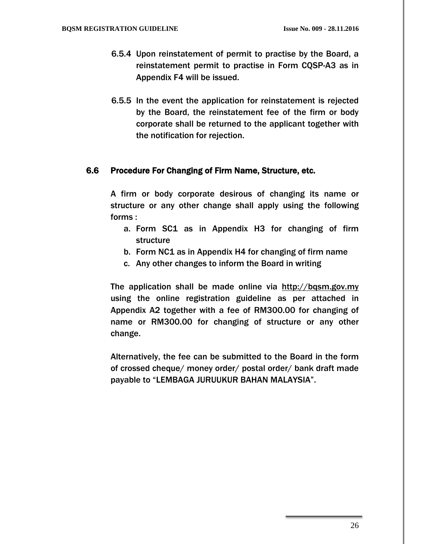- 6.5.4 Upon reinstatement of permit to practise by the Board, a reinstatement permit to practise in Form CQSP-A3 as in Appendix F4 will be issued.
- 6.5.5 In the event the application for reinstatement is rejected by the Board, the reinstatement fee of the firm or body corporate shall be returned to the applicant together with the notification for rejection.

#### 6.6 Procedure For Changing of Firm Name, Structure, etc.

A firm or body corporate desirous of changing its name or structure or any other change shall apply using the following forms :

- a. Form SC1 as in Appendix H3 for changing of firm structure
- b. Form NC1 as in Appendix H4 for changing of firm name
- c. Any other changes to inform the Board in writing

The application shall be made online via [http://bqsm.gov.my](http://bqsm.gov.my/reqsys_uat/public/) using the online registration guideline as per attached in Appendix A2 together with a fee of RM300.00 for changing of name or RM300.00 for changing of structure or any other change.

Alternatively, the fee can be submitted to the Board in the form of crossed cheque/ money order/ postal order/ bank draft made payable to "LEMBAGA JURUUKUR BAHAN MALAYSIA".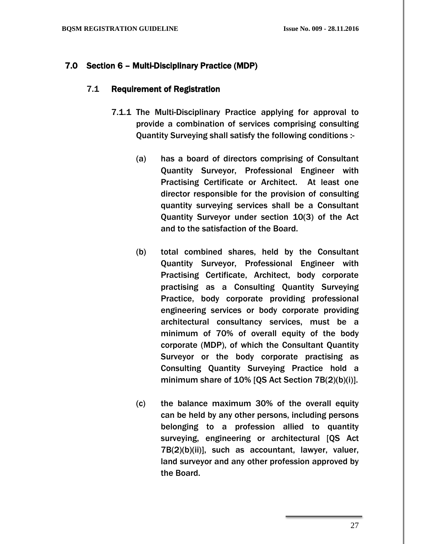### 7.0 Section 6 – Multi-Disciplinary Practice (MDP)

#### 7.1 Requirement of Registration

- 7.1.1 The Multi-Disciplinary Practice applying for approval to provide a combination of services comprising consulting Quantity Surveying shall satisfy the following conditions :-
	- (a) has a board of directors comprising of Consultant Quantity Surveyor, Professional Engineer with Practising Certificate or Architect. At least one director responsible for the provision of consulting quantity surveying services shall be a Consultant Quantity Surveyor under section 10(3) of the Act and to the satisfaction of the Board.
	- (b) total combined shares, held by the Consultant Quantity Surveyor, Professional Engineer with Practising Certificate, Architect, body corporate practising as a Consulting Quantity Surveying Practice, body corporate providing professional engineering services or body corporate providing architectural consultancy services, must be a minimum of 70% of overall equity of the body corporate (MDP), of which the Consultant Quantity Surveyor or the body corporate practising as Consulting Quantity Surveying Practice hold a minimum share of 10% [QS Act Section 7B(2)(b)(i)].
	- (c) the balance maximum 30% of the overall equity can be held by any other persons, including persons belonging to a profession allied to quantity surveying, engineering or architectural [QS Act 7B(2)(b)(ii)], such as accountant, lawyer, valuer, land surveyor and any other profession approved by the Board.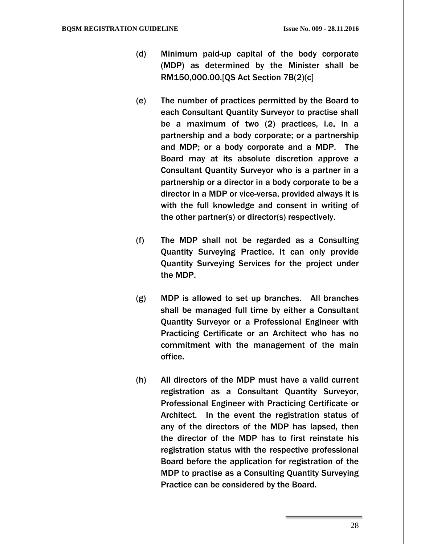- (d) Minimum paid-up capital of the body corporate (MDP) as determined by the Minister shall be RM150,000.00.[QS Act Section 7B(2)(c]
- (e) The number of practices permitted by the Board to each Consultant Quantity Surveyor to practise shall be a maximum of two (2) practices, i.e. in a partnership and a body corporate; or a partnership and MDP; or a body corporate and a MDP. The Board may at its absolute discretion approve a Consultant Quantity Surveyor who is a partner in a partnership or a director in a body corporate to be a director in a MDP or vice-versa, provided always it is with the full knowledge and consent in writing of the other partner(s) or director(s) respectively.
- (f) The MDP shall not be regarded as a Consulting Quantity Surveying Practice. It can only provide Quantity Surveying Services for the project under the MDP.
- (g) MDP is allowed to set up branches. All branches shall be managed full time by either a Consultant Quantity Surveyor or a Professional Engineer with Practicing Certificate or an Architect who has no commitment with the management of the main office.
- (h) All directors of the MDP must have a valid current registration as a Consultant Quantity Surveyor, Professional Engineer with Practicing Certificate or Architect. In the event the registration status of any of the directors of the MDP has lapsed, then the director of the MDP has to first reinstate his registration status with the respective professional Board before the application for registration of the MDP to practise as a Consulting Quantity Surveying Practice can be considered by the Board.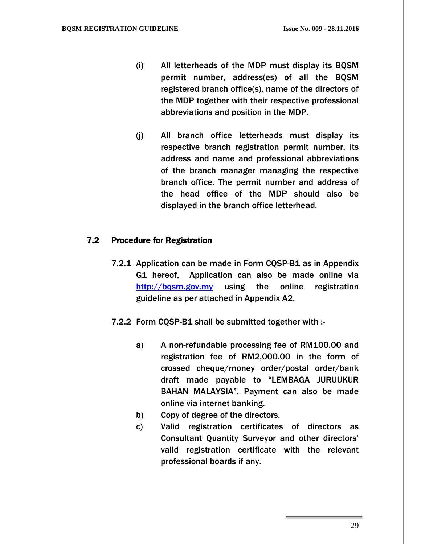- (i) All letterheads of the MDP must display its BQSM permit number, address(es) of all the BQSM registered branch office(s), name of the directors of the MDP together with their respective professional abbreviations and position in the MDP.
- (j) All branch office letterheads must display its respective branch registration permit number, its address and name and professional abbreviations of the branch manager managing the respective branch office. The permit number and address of the head office of the MDP should also be displayed in the branch office letterhead.

#### 7.2 Procedure for Registration

- 7.2.1 Application can be made in Form CQSP-B1 as in Appendix G1 hereof. Application can also be made online via http://bgsm.gov.my using the online registration guideline as per attached in Appendix A2.
- 7.2.2 Form CQSP-B1 shall be submitted together with :
	- a) A non-refundable processing fee of RM100.00 and registration fee of RM2,000.00 in the form of crossed cheque/money order/postal order/bank draft made payable to "LEMBAGA JURUUKUR BAHAN MALAYSIA". Payment can also be made online via internet banking.
	- b) Copy of degree of the directors.
	- c) Valid registration certificates of directors as Consultant Quantity Surveyor and other directors' valid registration certificate with the relevant professional boards if any.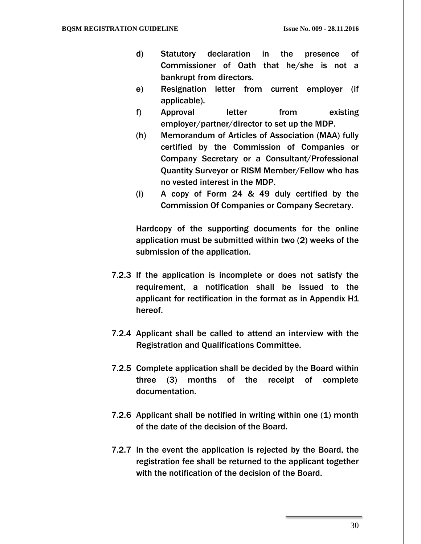- d) Statutory declaration in the presence of Commissioner of Oath that he/she is not a bankrupt from directors.
- e) Resignation letter from current employer (if applicable).
- f) Approval letter from existing employer/partner/director to set up the MDP.
- (h) Memorandum of Articles of Association (MAA) fully certified by the Commission of Companies or Company Secretary or a Consultant/Professional Quantity Surveyor or RISM Member/Fellow who has no vested interest in the MDP.
- (i) A copy of Form 24 & 49 duly certified by the Commission Of Companies or Company Secretary.

Hardcopy of the supporting documents for the online application must be submitted within two (2) weeks of the submission of the application.

- 7.2.3 If the application is incomplete or does not satisfy the requirement, a notification shall be issued to the applicant for rectification in the format as in Appendix H1 hereof.
- 7.2.4 Applicant shall be called to attend an interview with the Registration and Qualifications Committee.
- 7.2.5 Complete application shall be decided by the Board within three (3) months of the receipt of complete documentation.
- 7.2.6 Applicant shall be notified in writing within one (1) month of the date of the decision of the Board.
- 7.2.7 In the event the application is rejected by the Board, the registration fee shall be returned to the applicant together with the notification of the decision of the Board.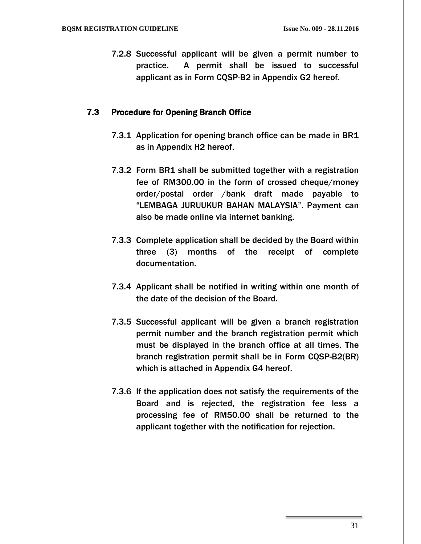7.2.8 Successful applicant will be given a permit number to practice. A permit shall be issued to successful applicant as in Form CQSP-B2 in Appendix G2 hereof.

### 7.3 Procedure for Opening Branch Office

- 7.3.1 Application for opening branch office can be made in BR1 as in Appendix H2 hereof.
- 7.3.2 Form BR1 shall be submitted together with a registration fee of RM300.00 in the form of crossed cheque/money order/postal order /bank draft made payable to "LEMBAGA JURUUKUR BAHAN MALAYSIA". Payment can also be made online via internet banking.
- 7.3.3 Complete application shall be decided by the Board within three (3) months of the receipt of complete documentation.
- 7.3.4 Applicant shall be notified in writing within one month of the date of the decision of the Board.
- 7.3.5 Successful applicant will be given a branch registration permit number and the branch registration permit which must be displayed in the branch office at all times. The branch registration permit shall be in Form CQSP-B2(BR) which is attached in Appendix G4 hereof.
- 7.3.6 If the application does not satisfy the requirements of the Board and is rejected, the registration fee less a processing fee of RM50.00 shall be returned to the applicant together with the notification for rejection.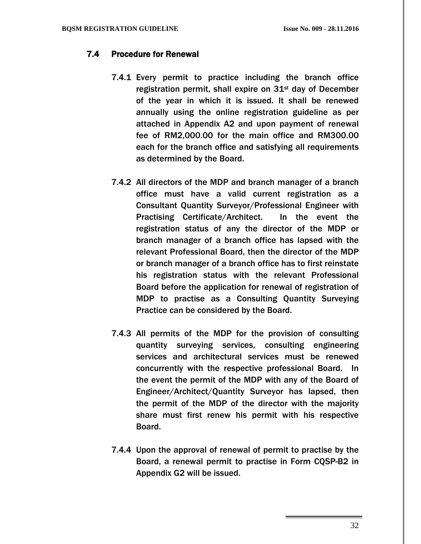# 7.4 Procedure for Renewal

- 7.4.1 Every permit to practice including the branch office registration permit, shall expire on  $31<sup>st</sup>$  day of December of the year in which it is issued. It shall be renewed annually using the online registration guideline as per attached in Appendix A2 and upon payment of renewal fee of RM2,000.00 for the main office and RM300.00 each for the branch office and satisfying all requirements as determined by the Board.
- 7.4.2 All directors of the MDP and branch manager of a branch office must have a valid current registration as a Consultant Quantity Surveyor/Professional Engineer with Practising Certificate/Architect. In the event the registration status of any the director of the MDP or branch manager of a branch office has lapsed with the relevant Professional Board, then the director of the MDP or branch manager of a branch office has to first reinstate his registration status with the relevant Professional Board before the application for renewal of registration of MDP to practise as a Consulting Quantity Surveying Practice can be considered by the Board.
- 7.4.3 All permits of the MDP for the provision of consulting quantity surveying services, consulting engineering services and architectural services must be renewed concurrently with the respective professional Board. In the event the permit of the MDP with any of the Board of Engineer/Architect/Quantity Surveyor has lapsed, then the permit of the MDP of the director with the majority share must first renew his permit with his respective Board.
- 7.4.4 Upon the approval of renewal of permit to practise by the Board, a renewal permit to practise in Form CQSP-B2 in Appendix G2 will be issued.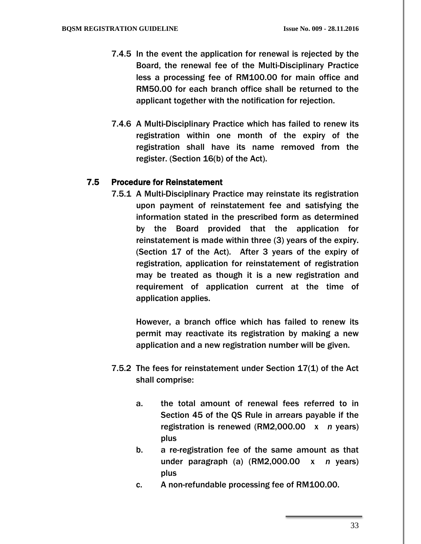- 7.4.5 In the event the application for renewal is rejected by the Board, the renewal fee of the Multi-Disciplinary Practice less a processing fee of RM100.00 for main office and RM50.00 for each branch office shall be returned to the applicant together with the notification for rejection.
- 7.4.6 A Multi-Disciplinary Practice which has failed to renew its registration within one month of the expiry of the registration shall have its name removed from the register. (Section 16(b) of the Act).

### 7.5 Procedure for Reinstatement

7.5.1 A Multi-Disciplinary Practice may reinstate its registration upon payment of reinstatement fee and satisfying the information stated in the prescribed form as determined by the Board provided that the application for reinstatement is made within three (3) years of the expiry. (Section 17 of the Act). After 3 years of the expiry of registration, application for reinstatement of registration may be treated as though it is a new registration and requirement of application current at the time of application applies.

> However, a branch office which has failed to renew its permit may reactivate its registration by making a new application and a new registration number will be given.

- 7.5.2 The fees for reinstatement under Section 17(1) of the Act shall comprise:
	- a. the total amount of renewal fees referred to in Section 45 of the QS Rule in arrears payable if the registration is renewed (RM2,000.00 x *n* years) plus
	- b. a re-registration fee of the same amount as that under paragraph (a) (RM2,000.00 x *n* years) plus
	- c. A non-refundable processing fee of RM100.00.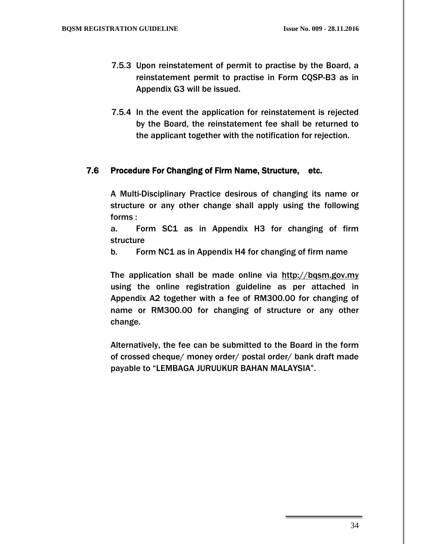- 7.5.3 Upon reinstatement of permit to practise by the Board, a reinstatement permit to practise in Form CQSP-B3 as in Appendix G3 will be issued.
- 7.5.4 In the event the application for reinstatement is rejected by the Board, the reinstatement fee shall be returned to the applicant together with the notification for rejection.

#### 7.6 Procedure For Changing of Firm Name, Structure, etc.

A Multi-Disciplinary Practice desirous of changing its name or structure or any other change shall apply using the following forms :

a. Form SC1 as in Appendix H3 for changing of firm structure

b. Form NC1 as in Appendix H4 for changing of firm name

The application shall be made online via [http://bqsm.gov.my](http://bqsm.gov.my/reqsys_uat/public/) using the online registration guideline as per attached in Appendix A2 together with a fee of RM300.00 for changing of name or RM300.00 for changing of structure or any other change.

Alternatively, the fee can be submitted to the Board in the form of crossed cheque/ money order/ postal order/ bank draft made payable to "LEMBAGA JURUUKUR BAHAN MALAYSIA".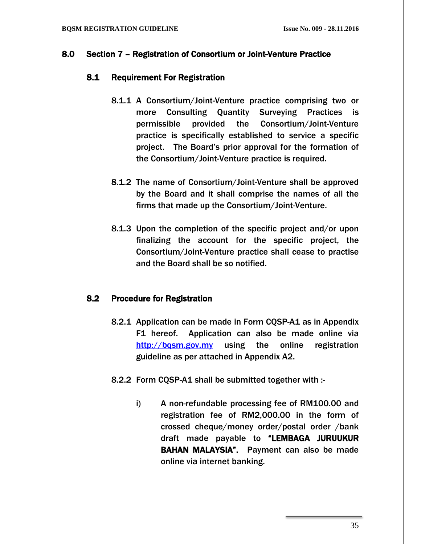#### 8.0 Section 7 – Registration of Consortium or Joint-Venture Practice

#### 8.1 Requirement For Registration

- 8.1.1 A Consortium/Joint-Venture practice comprising two or more Consulting Quantity Surveying Practices is permissible provided the Consortium/Joint-Venture practice is specifically established to service a specific project. The Board's prior approval for the formation of the Consortium/Joint-Venture practice is required.
- 8.1.2 The name of Consortium/Joint-Venture shall be approved by the Board and it shall comprise the names of all the firms that made up the Consortium/Joint-Venture.
- 8.1.3 Upon the completion of the specific project and/or upon finalizing the account for the specific project, the Consortium/Joint-Venture practice shall cease to practise and the Board shall be so notified.

#### 8.2 Procedure for Registration

- 8.2.1 Application can be made in Form CQSP-A1 as in Appendix F1 hereof. Application can also be made online via [http://bqsm.gov.my](http://bqsm.gov.my/reqsys_uat/public/) using the online registration guideline as per attached in Appendix A2.
- 8.2.2 Form CQSP-A1 shall be submitted together with :
	- i) A non-refundable processing fee of RM100.00 and registration fee of RM2,000.00 in the form of crossed cheque/money order/postal order /bank draft made payable to "LEMBAGA JURUUKUR BAHAN MALAYSIA". Payment can also be made online via internet banking.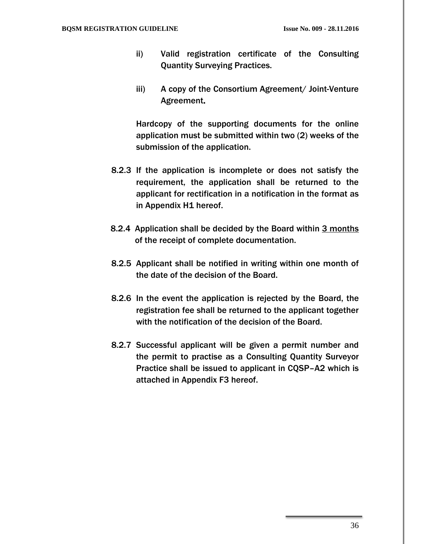- ii) Valid registration certificate of the Consulting Quantity Surveying Practices.
- iii) A copy of the Consortium Agreement/ Joint-Venture Agreement.

Hardcopy of the supporting documents for the online application must be submitted within two (2) weeks of the submission of the application.

- 8.2.3 If the application is incomplete or does not satisfy the requirement, the application shall be returned to the applicant for rectification in a notification in the format as in Appendix H1 hereof.
- 8.2.4 Application shall be decided by the Board within 3 months of the receipt of complete documentation.
- 8.2.5 Applicant shall be notified in writing within one month of the date of the decision of the Board.
- 8.2.6 In the event the application is rejected by the Board, the registration fee shall be returned to the applicant together with the notification of the decision of the Board.
- 8.2.7 Successful applicant will be given a permit number and the permit to practise as a Consulting Quantity Surveyor Practice shall be issued to applicant in CQSP–A2 which is attached in Appendix F3 hereof.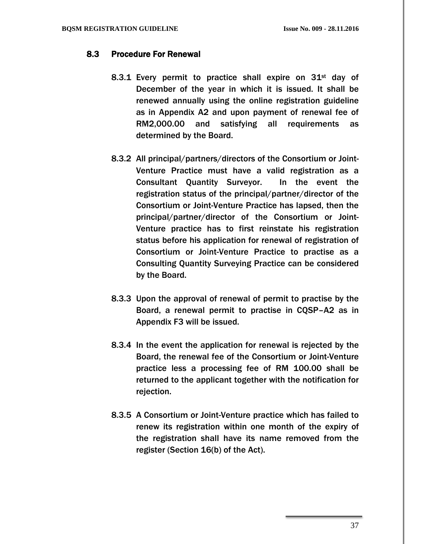#### 8.3 Procedure For Renewal

- 8.3.1 Every permit to practice shall expire on 31st day of December of the year in which it is issued. It shall be renewed annually using the online registration guideline as in Appendix A2 and upon payment of renewal fee of RM2,000.00 and satisfying all requirements as determined by the Board.
- 8.3.2 All principal/partners/directors of the Consortium or Joint-Venture Practice must have a valid registration as a Consultant Quantity Surveyor. In the event the registration status of the principal/partner/director of the Consortium or Joint-Venture Practice has lapsed, then the principal/partner/director of the Consortium or Joint-Venture practice has to first reinstate his registration status before his application for renewal of registration of Consortium or Joint-Venture Practice to practise as a Consulting Quantity Surveying Practice can be considered by the Board.
- 8.3.3 Upon the approval of renewal of permit to practise by the Board, a renewal permit to practise in CQSP–A2 as in Appendix F3 will be issued.
- 8.3.4 In the event the application for renewal is rejected by the Board, the renewal fee of the Consortium or Joint-Venture practice less a processing fee of RM 100.00 shall be returned to the applicant together with the notification for rejection.
- 8.3.5 A Consortium or Joint-Venture practice which has failed to renew its registration within one month of the expiry of the registration shall have its name removed from the register (Section 16(b) of the Act).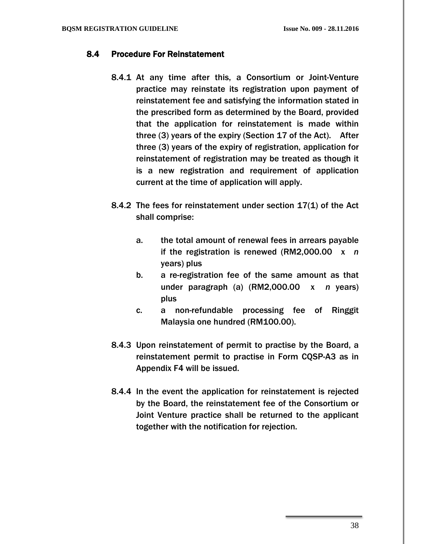# 8.4 Procedure For Reinstatement

- 8.4.1 At any time after this, a Consortium or Joint-Venture practice may reinstate its registration upon payment of reinstatement fee and satisfying the information stated in the prescribed form as determined by the Board, provided that the application for reinstatement is made within three (3) years of the expiry (Section 17 of the Act). After three (3) years of the expiry of registration, application for reinstatement of registration may be treated as though it is a new registration and requirement of application current at the time of application will apply.
- 8.4.2 The fees for reinstatement under section 17(1) of the Act shall comprise:
	- a. the total amount of renewal fees in arrears payable if the registration is renewed (RM2,000.00 x *n* years) plus
	- b. a re-registration fee of the same amount as that under paragraph (a) (RM2,000.00 x *n* years) plus
	- c. a non-refundable processing fee of Ringgit Malaysia one hundred (RM100.00).
- 8.4.3 Upon reinstatement of permit to practise by the Board, a reinstatement permit to practise in Form CQSP-A3 as in Appendix F4 will be issued.
- 8.4.4 In the event the application for reinstatement is rejected by the Board, the reinstatement fee of the Consortium or Joint Venture practice shall be returned to the applicant together with the notification for rejection.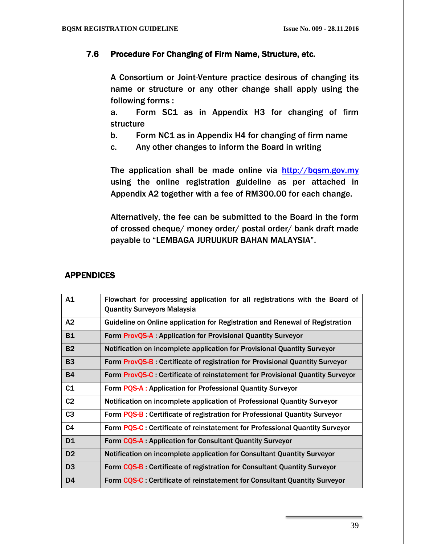#### 7.6 Procedure For Changing of Firm Name, Structure, etc.

A Consortium or Joint-Venture practice desirous of changing its name or structure or any other change shall apply using the following forms :

a. Form SC1 as in Appendix H3 for changing of firm structure

- b. Form NC1 as in Appendix H4 for changing of firm name
- c. Any other changes to inform the Board in writing

The application shall be made online via [http://bqsm.gov.my](http://bqsm.gov.my/reqsys_uat/public/) using the online registration guideline as per attached in Appendix A2 together with a fee of RM300.00 for each change.

Alternatively, the fee can be submitted to the Board in the form of crossed cheque/ money order/ postal order/ bank draft made payable to "LEMBAGA JURUUKUR BAHAN MALAYSIA".

#### APPENDICES

| A1             | Flowchart for processing application for all registrations with the Board of<br><b>Quantity Surveyors Malaysia</b> |
|----------------|--------------------------------------------------------------------------------------------------------------------|
| A2             | Guideline on Online application for Registration and Renewal of Registration                                       |
| <b>B1</b>      | Form ProvQS-A: Application for Provisional Quantity Surveyor                                                       |
| <b>B2</b>      | Notification on incomplete application for Provisional Quantity Surveyor                                           |
| <b>B3</b>      | Form ProvQS-B: Certificate of registration for Provisional Quantity Surveyor                                       |
| <b>B4</b>      | Form ProvQS-C : Certificate of reinstatement for Provisional Quantity Surveyor                                     |
| C1             | Form PQS-A: Application for Professional Quantity Surveyor                                                         |
| C <sub>2</sub> | Notification on incomplete application of Professional Quantity Surveyor                                           |
| C <sub>3</sub> | Form PQS-B: Certificate of registration for Professional Quantity Surveyor                                         |
| C <sub>4</sub> | Form PQS-C : Certificate of reinstatement for Professional Quantity Surveyor                                       |
| D <sub>1</sub> | Form CQS-A Application for Consultant Quantity Surveyor                                                            |
| D <sub>2</sub> | Notification on incomplete application for Consultant Quantity Surveyor                                            |
| D <sub>3</sub> | Form CQS-B : Certificate of registration for Consultant Quantity Surveyor                                          |
| D <sub>4</sub> | Form CQS-C : Certificate of reinstatement for Consultant Quantity Surveyor                                         |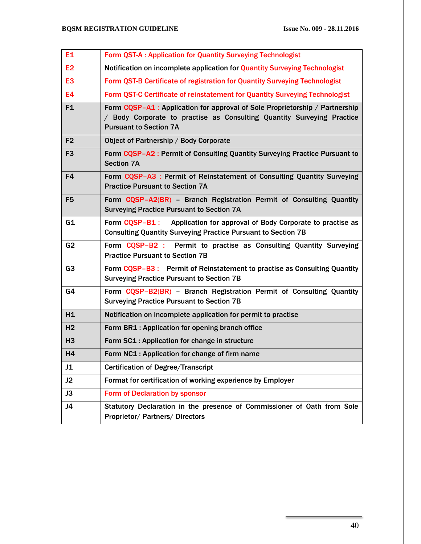| E <sub>1</sub> | Form QST-A : Application for Quantity Surveying Technologist                                                                                                                          |
|----------------|---------------------------------------------------------------------------------------------------------------------------------------------------------------------------------------|
| E <sub>2</sub> | Notification on incomplete application for Quantity Surveying Technologist                                                                                                            |
| E <sub>3</sub> | Form QST-B Certificate of registration for Quantity Surveying Technologist                                                                                                            |
| E <sub>4</sub> | Form QST-C Certificate of reinstatement for Quantity Surveying Technologist                                                                                                           |
| F <sub>1</sub> | Form CQSP-A1 : Application for approval of Sole Proprietorship / Partnership<br>Body Corporate to practise as Consulting Quantity Surveying Practice<br><b>Pursuant to Section 7A</b> |
| F <sub>2</sub> | Object of Partnership / Body Corporate                                                                                                                                                |
| F <sub>3</sub> | Form CQSP-A2 : Permit of Consulting Quantity Surveying Practice Pursuant to<br><b>Section 7A</b>                                                                                      |
| F4             | Form CQSP-A3 : Permit of Reinstatement of Consulting Quantity Surveying<br><b>Practice Pursuant to Section 7A</b>                                                                     |
| F <sub>5</sub> | Form CQSP-A2(BR) - Branch Registration Permit of Consulting Quantity<br><b>Surveying Practice Pursuant to Section 7A</b>                                                              |
| G1             | Form COSP-B1 :<br>Application for approval of Body Corporate to practise as<br><b>Consulting Quantity Surveying Practice Pursuant to Section 7B</b>                                   |
| G <sub>2</sub> | Form CQSP-B2 : Permit to practise as Consulting Quantity Surveying<br><b>Practice Pursuant to Section 7B</b>                                                                          |
| G <sub>3</sub> | Form CQSP-B3 : Permit of Reinstatement to practise as Consulting Quantity<br><b>Surveying Practice Pursuant to Section 7B</b>                                                         |
| G4             | Form CQSP-B2(BR) - Branch Registration Permit of Consulting Quantity<br><b>Surveying Practice Pursuant to Section 7B</b>                                                              |
| H1             | Notification on incomplete application for permit to practise                                                                                                                         |
| H <sub>2</sub> | Form BR1 : Application for opening branch office                                                                                                                                      |
| <b>H3</b>      | Form SC1 : Application for change in structure                                                                                                                                        |
| H <sub>4</sub> | Form NC1 : Application for change of firm name                                                                                                                                        |
| J1             | <b>Certification of Degree/Transcript</b>                                                                                                                                             |
| J2             | Format for certification of working experience by Employer                                                                                                                            |
| J3             | Form of Declaration by sponsor                                                                                                                                                        |
| J4             | Statutory Declaration in the presence of Commissioner of Oath from Sole<br><b>Proprietor/ Partners/ Directors</b>                                                                     |